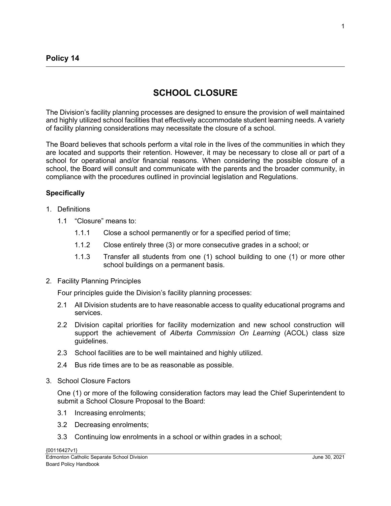## **SCHOOL CLOSURE**

The Division's facility planning processes are designed to ensure the provision of well maintained and highly utilized school facilities that effectively accommodate student learning needs. A variety of facility planning considerations may necessitate the closure of a school.

The Board believes that schools perform a vital role in the lives of the communities in which they are located and supports their retention. However, it may be necessary to close all or part of a school for operational and/or financial reasons. When considering the possible closure of a school, the Board will consult and communicate with the parents and the broader community, in compliance with the procedures outlined in provincial legislation and Regulations.

## **Specifically**

- 1. Definitions
	- 1.1 "Closure" means to:
		- 1.1.1 Close a school permanently or for a specified period of time;
		- 1.1.2 Close entirely three (3) or more consecutive grades in a school; or
		- 1.1.3 Transfer all students from one (1) school building to one (1) or more other school buildings on a permanent basis.
- 2. Facility Planning Principles

Four principles guide the Division's facility planning processes:

- 2.1 All Division students are to have reasonable access to quality educational programs and services.
- 2.2 Division capital priorities for facility modernization and new school construction will support the achievement of *Alberta Commission On Learning* (ACOL) class size guidelines.
- 2.3 School facilities are to be well maintained and highly utilized.
- 2.4 Bus ride times are to be as reasonable as possible.
- 3. School Closure Factors

One (1) or more of the following consideration factors may lead the Chief Superintendent to submit a School Closure Proposal to the Board:

- 3.1 Increasing enrolments;
- 3.2 Decreasing enrolments;
- 3.3 Continuing low enrolments in a school or within grades in a school;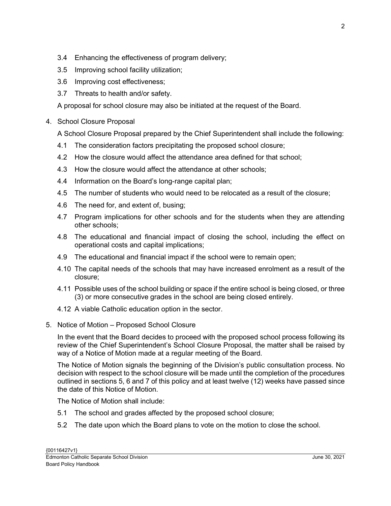- 3.4 Enhancing the effectiveness of program delivery;
- 3.5 Improving school facility utilization;
- 3.6 Improving cost effectiveness;
- 3.7 Threats to health and/or safety.

A proposal for school closure may also be initiated at the request of the Board.

4. School Closure Proposal

A School Closure Proposal prepared by the Chief Superintendent shall include the following:

- 4.1 The consideration factors precipitating the proposed school closure;
- 4.2 How the closure would affect the attendance area defined for that school;
- 4.3 How the closure would affect the attendance at other schools;
- 4.4 Information on the Board's long-range capital plan;
- 4.5 The number of students who would need to be relocated as a result of the closure;
- 4.6 The need for, and extent of, busing;
- 4.7 Program implications for other schools and for the students when they are attending other schools;
- 4.8 The educational and financial impact of closing the school, including the effect on operational costs and capital implications;
- 4.9 The educational and financial impact if the school were to remain open;
- 4.10 The capital needs of the schools that may have increased enrolment as a result of the closure;
- 4.11 Possible uses of the school building or space if the entire school is being closed, or three (3) or more consecutive grades in the school are being closed entirely.
- 4.12 A viable Catholic education option in the sector.
- 5. Notice of Motion Proposed School Closure

In the event that the Board decides to proceed with the proposed school process following its review of the Chief Superintendent's School Closure Proposal, the matter shall be raised by way of a Notice of Motion made at a regular meeting of the Board.

The Notice of Motion signals the beginning of the Division's public consultation process. No decision with respect to the school closure will be made until the completion of the procedures outlined in sections 5, 6 and 7 of this policy and at least twelve (12) weeks have passed since the date of this Notice of Motion.

The Notice of Motion shall include:

- 5.1 The school and grades affected by the proposed school closure;
- 5.2 The date upon which the Board plans to vote on the motion to close the school.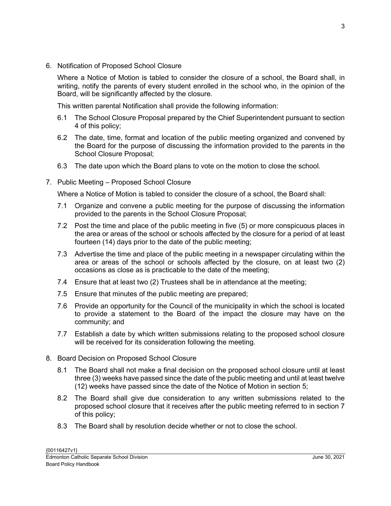6. Notification of Proposed School Closure

Where a Notice of Motion is tabled to consider the closure of a school, the Board shall, in writing, notify the parents of every student enrolled in the school who, in the opinion of the Board, will be significantly affected by the closure.

This written parental Notification shall provide the following information:

- 6.1 The School Closure Proposal prepared by the Chief Superintendent pursuant to section 4 of this policy;
- 6.2 The date, time, format and location of the public meeting organized and convened by the Board for the purpose of discussing the information provided to the parents in the School Closure Proposal;
- 6.3 The date upon which the Board plans to vote on the motion to close the school.
- 7. Public Meeting Proposed School Closure

Where a Notice of Motion is tabled to consider the closure of a school, the Board shall:

- 7.1 Organize and convene a public meeting for the purpose of discussing the information provided to the parents in the School Closure Proposal;
- 7.2 Post the time and place of the public meeting in five (5) or more conspicuous places in the area or areas of the school or schools affected by the closure for a period of at least fourteen (14) days prior to the date of the public meeting;
- 7.3 Advertise the time and place of the public meeting in a newspaper circulating within the area or areas of the school or schools affected by the closure, on at least two (2) occasions as close as is practicable to the date of the meeting;
- 7.4 Ensure that at least two (2) Trustees shall be in attendance at the meeting;
- 7.5 Ensure that minutes of the public meeting are prepared;
- 7.6 Provide an opportunity for the Council of the municipality in which the school is located to provide a statement to the Board of the impact the closure may have on the community; and
- 7.7 Establish a date by which written submissions relating to the proposed school closure will be received for its consideration following the meeting.
- 8. Board Decision on Proposed School Closure
	- 8.1 The Board shall not make a final decision on the proposed school closure until at least three (3) weeks have passed since the date of the public meeting and until at least twelve (12) weeks have passed since the date of the Notice of Motion in section 5;
	- 8.2 The Board shall give due consideration to any written submissions related to the proposed school closure that it receives after the public meeting referred to in section 7 of this policy;
	- 8.3 The Board shall by resolution decide whether or not to close the school.